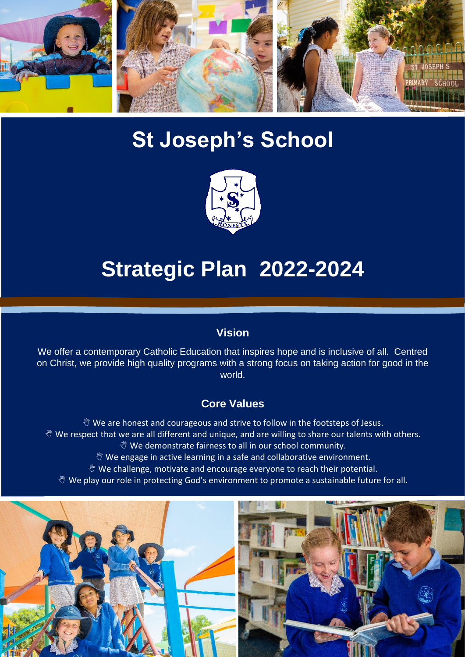

# **St Joseph's School**



# **Strategic Plan 2022-2024**

#### **Vision**

We offer a contemporary Catholic Education that inspires hope and is inclusive of all. Centred on Christ, we provide high quality programs with a strong focus on taking action for good in the world.

#### **Core Values**

 $\mathcal Y$  We are honest and courageous and strive to follow in the footsteps of Jesus.  $\mathcal Y$  We respect that we are all different and unique, and are willing to share our talents with others. **We demonstrate fairness to all in our school community.**  $\mathcal Y$  We engage in active learning in a safe and collaborative environment.

- $\mathcal Y$  We challenge, motivate and encourage everyone to reach their potential.
- $\mathcal Y$  We play our role in protecting God's environment to promote a sustainable future for all.